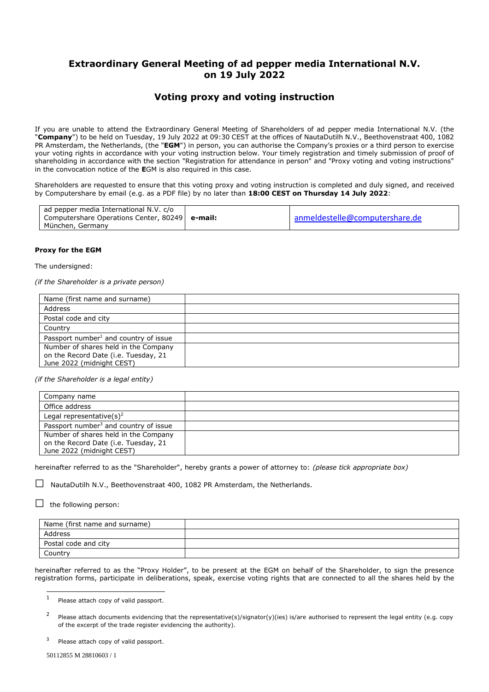## **Extraordinary General Meeting of ad pepper media International N.V. on 19 July 2022**

## **Voting proxy and voting instruction**

If you are unable to attend the Extraordinary General Meeting of Shareholders of ad pepper media International N.V. (the "**Company**") to be held on Tuesday, 19 July 2022 at 09:30 CEST at the offices of NautaDutilh N.V., Beethovenstraat 400, 1082 PR Amsterdam, the Netherlands, (the "**EGM**") in person, you can authorise the Company's proxies or a third person to exercise your voting rights in accordance with your voting instruction below. Your timely registration and timely submission of proof of shareholding in accordance with the section "Registration for attendance in person" and "Proxy voting and voting instructions" in the convocation notice of the **E**GM is also required in this case.

Shareholders are requested to ensure that this voting proxy and voting instruction is completed and duly signed, and received by Computershare by email (e.g. as a PDF file) by no later than **18:00 CEST on Thursday 14 July 2022**:

| ad pepper media International N.V. c/o           |                                |  |
|--------------------------------------------------|--------------------------------|--|
| Computershare Operations Center, 80249   e-mail: | anmeldestelle@computershare.de |  |
| München, Germany                                 |                                |  |

## **Proxy for the EGM**

The undersigned:

*(if the Shareholder is a private person)*

| Name (first name and surname)                                                                             |  |
|-----------------------------------------------------------------------------------------------------------|--|
| Address                                                                                                   |  |
| Postal code and city                                                                                      |  |
| Country                                                                                                   |  |
| Passport number <sup>1</sup> and country of issue                                                         |  |
| Number of shares held in the Company<br>on the Record Date (i.e. Tuesday, 21<br>June 2022 (midnight CEST) |  |

*(if the Shareholder is a legal entity)*

| Company name                                      |  |
|---------------------------------------------------|--|
| Office address                                    |  |
| Legal representative $(s)^2$                      |  |
| Passport number <sup>3</sup> and country of issue |  |
| Number of shares held in the Company              |  |
| on the Record Date (i.e. Tuesday, 21              |  |
| June 2022 (midnight CEST)                         |  |

hereinafter referred to as the "Shareholder", hereby grants a power of attorney to: *(please tick appropriate box)*

 $\square$  NautaDutilh N.V., Beethovenstraat 400, 1082 PR Amsterdam, the Netherlands.

 $\Box$  the following person:

| Name (first name and surname) |  |
|-------------------------------|--|
| Address                       |  |
| Postal code and city          |  |
| Country                       |  |

hereinafter referred to as the "Proxy Holder", to be present at the EGM on behalf of the Shareholder, to sign the presence registration forms, participate in deliberations, speak, exercise voting rights that are connected to all the shares held by the

<sup>1</sup> Please attach copy of valid passport.

<sup>2</sup> Please attach documents evidencing that the representative(s)/signator(y)(ies) is/are authorised to represent the legal entity (e.g. copy of the excerpt of the trade register evidencing the authority).

<sup>3</sup> Please attach copy of valid passport.